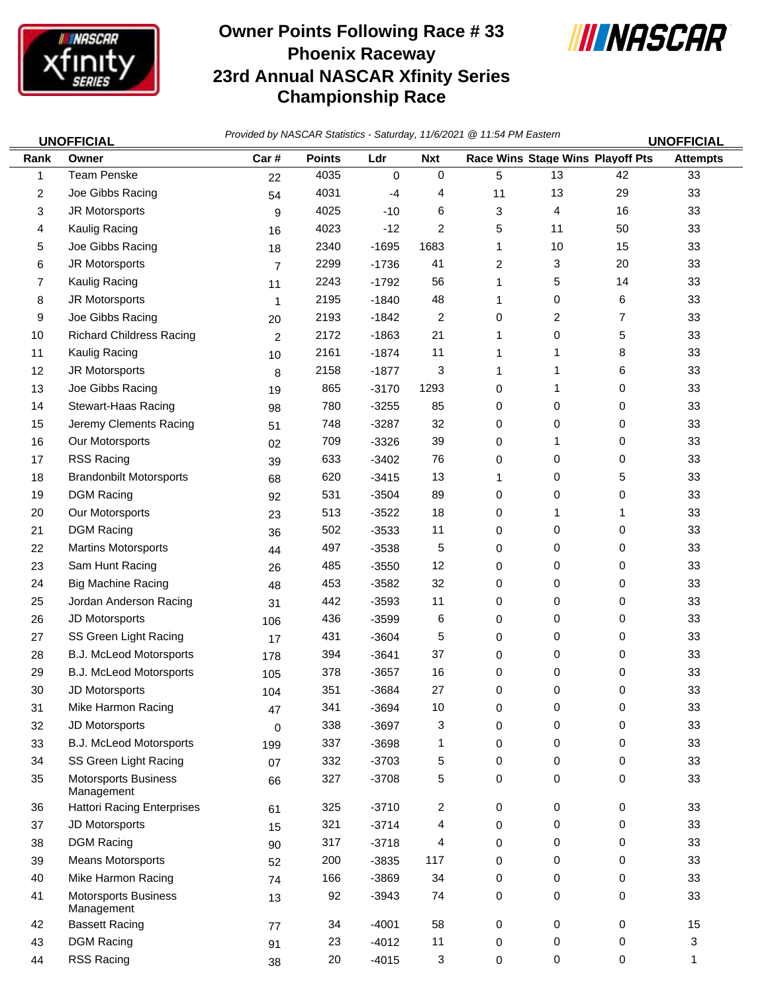

## **Owner Points Following Race # 33 Phoenix Raceway 23rd Annual NASCAR Xfinity Series Championship Race**



*Provided by NASCAR Statistics - Saturday, 11/6/2021 @ 11:54 PM Eastern* **UNOFFICIAL UNOFFICIAL**

| Rank | וטויו וטור<br>Owner                       | Car#           | <b>Points</b> | Ldr     | <b>Nxt</b>     |    | Race Wins Stage Wins Playoff Pts |    | ושיו ושיוט<br><b>Attempts</b> |
|------|-------------------------------------------|----------------|---------------|---------|----------------|----|----------------------------------|----|-------------------------------|
| 1    | <b>Team Penske</b>                        | 22             | 4035          | 0       | $\mathbf 0$    | 5  | 13                               | 42 | 33                            |
| 2    | Joe Gibbs Racing                          | 54             | 4031          | -4      | 4              | 11 | 13                               | 29 | 33                            |
| 3    | JR Motorsports                            | 9              | 4025          | $-10$   | 6              | 3  | 4                                | 16 | 33                            |
| 4    | Kaulig Racing                             | 16             | 4023          | $-12$   | 2              | 5  | 11                               | 50 | 33                            |
| 5    | Joe Gibbs Racing                          | 18             | 2340          | $-1695$ | 1683           | 1  | 10                               | 15 | 33                            |
| 6    | JR Motorsports                            | $\overline{7}$ | 2299          | $-1736$ | 41             | 2  | 3                                | 20 | 33                            |
| 7    | Kaulig Racing                             | 11             | 2243          | $-1792$ | 56             | 1  | 5                                | 14 | 33                            |
| 8    | JR Motorsports                            | $\mathbf{1}$   | 2195          | $-1840$ | 48             | 1  | 0                                | 6  | 33                            |
| 9    | Joe Gibbs Racing                          | 20             | 2193          | $-1842$ | $\overline{c}$ | 0  | 2                                | 7  | 33                            |
| 10   | <b>Richard Childress Racing</b>           | 2              | 2172          | $-1863$ | 21             | 1  | 0                                | 5  | 33                            |
| 11   | Kaulig Racing                             | 10             | 2161          | $-1874$ | 11             | 1  | 1                                | 8  | 33                            |
| 12   | JR Motorsports                            | 8              | 2158          | $-1877$ | 3              | 1  | 1                                | 6  | 33                            |
| 13   | Joe Gibbs Racing                          | 19             | 865           | $-3170$ | 1293           | 0  | 1                                | 0  | 33                            |
| 14   | Stewart-Haas Racing                       | 98             | 780           | $-3255$ | 85             | 0  | 0                                | 0  | 33                            |
| 15   | Jeremy Clements Racing                    | 51             | 748           | $-3287$ | 32             | 0  | 0                                | 0  | 33                            |
| 16   | Our Motorsports                           | 02             | 709           | $-3326$ | 39             | 0  | 1                                | 0  | 33                            |
| 17   | RSS Racing                                | 39             | 633           | $-3402$ | 76             | 0  | 0                                | 0  | 33                            |
| 18   | <b>Brandonbilt Motorsports</b>            | 68             | 620           | $-3415$ | 13             | 1  | 0                                | 5  | 33                            |
| 19   | <b>DGM Racing</b>                         | 92             | 531           | $-3504$ | 89             | 0  | 0                                | 0  | 33                            |
| 20   | Our Motorsports                           | 23             | 513           | $-3522$ | 18             | 0  | 1                                | 1  | 33                            |
| 21   | <b>DGM Racing</b>                         | 36             | 502           | $-3533$ | 11             | 0  | 0                                | 0  | 33                            |
| 22   | <b>Martins Motorsports</b>                | 44             | 497           | $-3538$ | 5              | 0  | 0                                | 0  | 33                            |
| 23   | Sam Hunt Racing                           | 26             | 485           | $-3550$ | 12             | 0  | 0                                | 0  | 33                            |
| 24   | <b>Big Machine Racing</b>                 | 48             | 453           | $-3582$ | 32             | 0  | 0                                | 0  | 33                            |
| 25   | Jordan Anderson Racing                    | 31             | 442           | $-3593$ | 11             | 0  | 0                                | 0  | 33                            |
| 26   | JD Motorsports                            | 106            | 436           | $-3599$ | 6              | 0  | 0                                | 0  | 33                            |
| 27   | SS Green Light Racing                     | 17             | 431           | $-3604$ | 5              | 0  | 0                                | 0  | 33                            |
| 28   | B.J. McLeod Motorsports                   | 178            | 394           | $-3641$ | 37             | 0  | 0                                | 0  | 33                            |
| 29   | <b>B.J. McLeod Motorsports</b>            | 105            | 378           | $-3657$ | 16             | 0  | 0                                | 0  | 33                            |
| 30   | JD Motorsports                            | 104            | 351           | $-3684$ | 27             | 0  | 0                                | 0  | 33                            |
| 31   | Mike Harmon Racing                        | 47             | 341           | $-3694$ | 10             | 0  | 0                                | 0  | 33                            |
| 32   | JD Motorsports                            | 0              | 338           | $-3697$ | 3              | 0  | 0                                | 0  | 33                            |
| 33   | <b>B.J. McLeod Motorsports</b>            | 199            | 337           | $-3698$ | 1              | 0  | 0                                | 0  | 33                            |
| 34   | SS Green Light Racing                     | 07             | 332           | $-3703$ | 5              | 0  | 0                                | 0  | 33                            |
| 35   | <b>Motorsports Business</b><br>Management | 66             | 327           | $-3708$ | 5              | 0  | $\mathbf 0$                      | 0  | 33                            |
| 36   | <b>Hattori Racing Enterprises</b>         | 61             | 325           | $-3710$ | $\overline{c}$ | 0  | $\mathbf 0$                      | 0  | 33                            |
| 37   | JD Motorsports                            | 15             | 321           | $-3714$ | 4              | 0  | 0                                | 0  | 33                            |
| 38   | <b>DGM Racing</b>                         | 90             | 317           | $-3718$ | 4              | 0  | 0                                | 0  | 33                            |
| 39   | Means Motorsports                         | 52             | 200           | $-3835$ | 117            | 0  | $\mathbf 0$                      | 0  | 33                            |
| 40   | Mike Harmon Racing                        | 74             | 166           | $-3869$ | 34             | 0  | 0                                | 0  | 33                            |
| 41   | <b>Motorsports Business</b><br>Management | 13             | 92            | $-3943$ | 74             | 0  | 0                                | 0  | 33                            |
| 42   | <b>Bassett Racing</b>                     | 77             | 34            | $-4001$ | 58             | 0  | $\mathbf 0$                      | 0  | 15                            |
| 43   | <b>DGM Racing</b>                         | 91             | 23            | $-4012$ | 11             | 0  | 0                                | 0  | 3                             |
| 44   | RSS Racing                                | 38             | 20            | $-4015$ | 3              | 0  | $\mathsf{O}$                     | 0  | $\mathbf 1$                   |